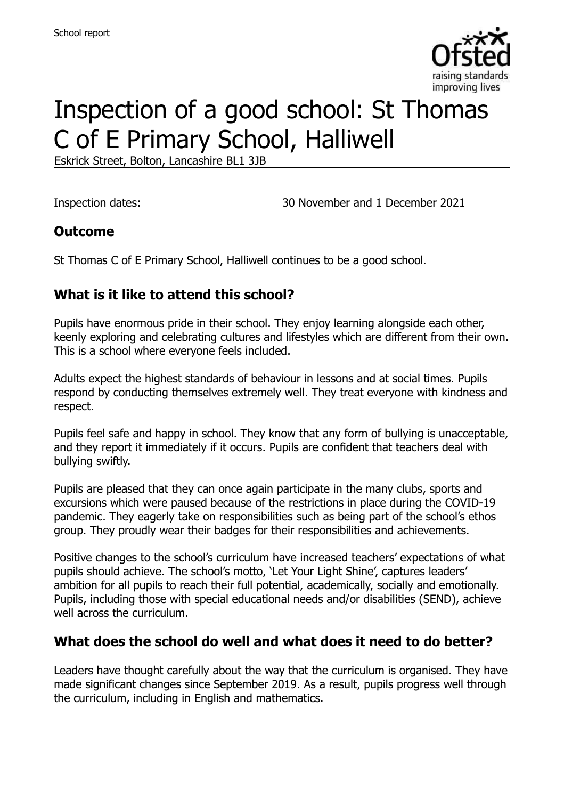

# Inspection of a good school: St Thomas C of E Primary School, Halliwell

Eskrick Street, Bolton, Lancashire BL1 3JB

Inspection dates: 30 November and 1 December 2021

#### **Outcome**

St Thomas C of E Primary School, Halliwell continues to be a good school.

## **What is it like to attend this school?**

Pupils have enormous pride in their school. They enjoy learning alongside each other, keenly exploring and celebrating cultures and lifestyles which are different from their own. This is a school where everyone feels included.

Adults expect the highest standards of behaviour in lessons and at social times. Pupils respond by conducting themselves extremely well. They treat everyone with kindness and respect.

Pupils feel safe and happy in school. They know that any form of bullying is unacceptable, and they report it immediately if it occurs. Pupils are confident that teachers deal with bullying swiftly.

Pupils are pleased that they can once again participate in the many clubs, sports and excursions which were paused because of the restrictions in place during the COVID-19 pandemic. They eagerly take on responsibilities such as being part of the school's ethos group. They proudly wear their badges for their responsibilities and achievements.

Positive changes to the school's curriculum have increased teachers' expectations of what pupils should achieve. The school's motto, 'Let Your Light Shine', captures leaders' ambition for all pupils to reach their full potential, academically, socially and emotionally. Pupils, including those with special educational needs and/or disabilities (SEND), achieve well across the curriculum.

## **What does the school do well and what does it need to do better?**

Leaders have thought carefully about the way that the curriculum is organised. They have made significant changes since September 2019. As a result, pupils progress well through the curriculum, including in English and mathematics.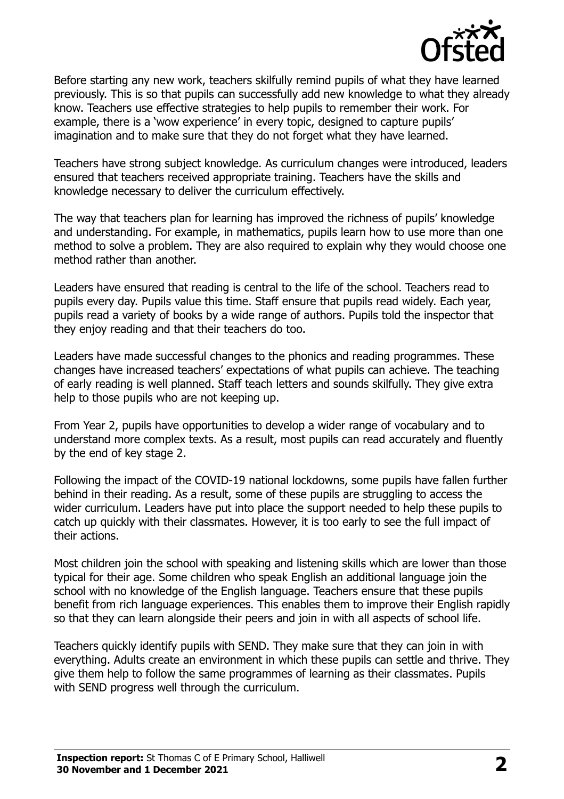

Before starting any new work, teachers skilfully remind pupils of what they have learned previously. This is so that pupils can successfully add new knowledge to what they already know. Teachers use effective strategies to help pupils to remember their work. For example, there is a 'wow experience' in every topic, designed to capture pupils' imagination and to make sure that they do not forget what they have learned.

Teachers have strong subject knowledge. As curriculum changes were introduced, leaders ensured that teachers received appropriate training. Teachers have the skills and knowledge necessary to deliver the curriculum effectively.

The way that teachers plan for learning has improved the richness of pupils' knowledge and understanding. For example, in mathematics, pupils learn how to use more than one method to solve a problem. They are also required to explain why they would choose one method rather than another.

Leaders have ensured that reading is central to the life of the school. Teachers read to pupils every day. Pupils value this time. Staff ensure that pupils read widely. Each year, pupils read a variety of books by a wide range of authors. Pupils told the inspector that they enjoy reading and that their teachers do too.

Leaders have made successful changes to the phonics and reading programmes. These changes have increased teachers' expectations of what pupils can achieve. The teaching of early reading is well planned. Staff teach letters and sounds skilfully. They give extra help to those pupils who are not keeping up.

From Year 2, pupils have opportunities to develop a wider range of vocabulary and to understand more complex texts. As a result, most pupils can read accurately and fluently by the end of key stage 2.

Following the impact of the COVID-19 national lockdowns, some pupils have fallen further behind in their reading. As a result, some of these pupils are struggling to access the wider curriculum. Leaders have put into place the support needed to help these pupils to catch up quickly with their classmates. However, it is too early to see the full impact of their actions.

Most children join the school with speaking and listening skills which are lower than those typical for their age. Some children who speak English an additional language join the school with no knowledge of the English language. Teachers ensure that these pupils benefit from rich language experiences. This enables them to improve their English rapidly so that they can learn alongside their peers and join in with all aspects of school life.

Teachers quickly identify pupils with SEND. They make sure that they can join in with everything. Adults create an environment in which these pupils can settle and thrive. They give them help to follow the same programmes of learning as their classmates. Pupils with SEND progress well through the curriculum.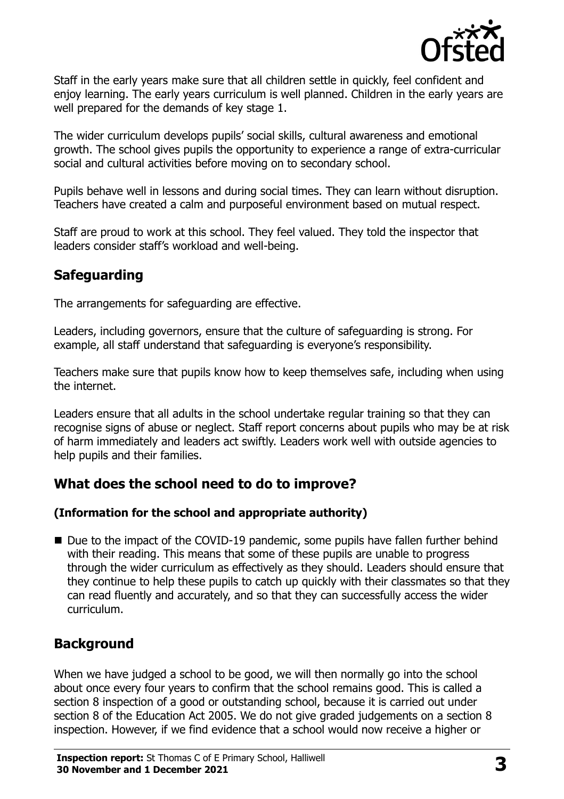

Staff in the early years make sure that all children settle in quickly, feel confident and enjoy learning. The early years curriculum is well planned. Children in the early years are well prepared for the demands of key stage 1.

The wider curriculum develops pupils' social skills, cultural awareness and emotional growth. The school gives pupils the opportunity to experience a range of extra-curricular social and cultural activities before moving on to secondary school.

Pupils behave well in lessons and during social times. They can learn without disruption. Teachers have created a calm and purposeful environment based on mutual respect.

Staff are proud to work at this school. They feel valued. They told the inspector that leaders consider staff's workload and well-being.

## **Safeguarding**

The arrangements for safeguarding are effective.

Leaders, including governors, ensure that the culture of safeguarding is strong. For example, all staff understand that safeguarding is everyone's responsibility.

Teachers make sure that pupils know how to keep themselves safe, including when using the internet.

Leaders ensure that all adults in the school undertake regular training so that they can recognise signs of abuse or neglect. Staff report concerns about pupils who may be at risk of harm immediately and leaders act swiftly. Leaders work well with outside agencies to help pupils and their families.

## **What does the school need to do to improve?**

#### **(Information for the school and appropriate authority)**

■ Due to the impact of the COVID-19 pandemic, some pupils have fallen further behind with their reading. This means that some of these pupils are unable to progress through the wider curriculum as effectively as they should. Leaders should ensure that they continue to help these pupils to catch up quickly with their classmates so that they can read fluently and accurately, and so that they can successfully access the wider curriculum.

## **Background**

When we have judged a school to be good, we will then normally go into the school about once every four years to confirm that the school remains good. This is called a section 8 inspection of a good or outstanding school, because it is carried out under section 8 of the Education Act 2005. We do not give graded judgements on a section 8 inspection. However, if we find evidence that a school would now receive a higher or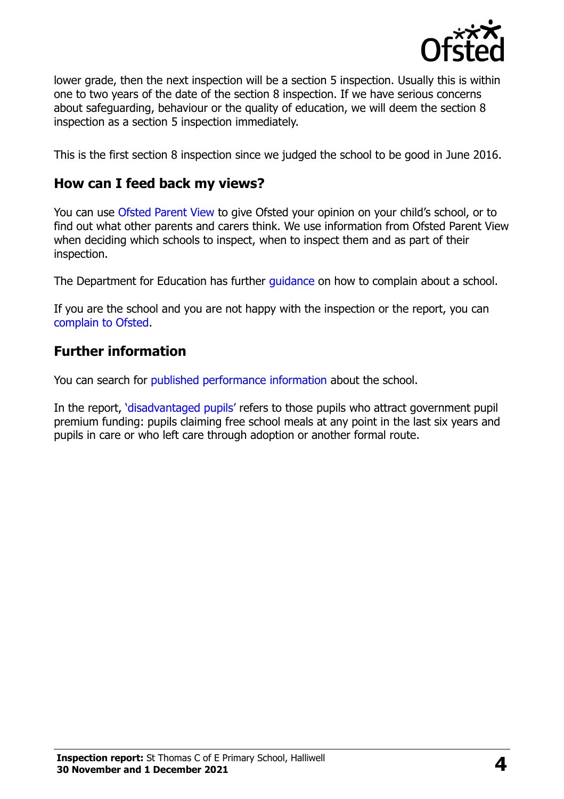

lower grade, then the next inspection will be a section 5 inspection. Usually this is within one to two years of the date of the section 8 inspection. If we have serious concerns about safeguarding, behaviour or the quality of education, we will deem the section 8 inspection as a section 5 inspection immediately.

This is the first section 8 inspection since we judged the school to be good in June 2016.

#### **How can I feed back my views?**

You can use [Ofsted Parent View](https://parentview.ofsted.gov.uk/) to give Ofsted your opinion on your child's school, or to find out what other parents and carers think. We use information from Ofsted Parent View when deciding which schools to inspect, when to inspect them and as part of their inspection.

The Department for Education has further quidance on how to complain about a school.

If you are the school and you are not happy with the inspection or the report, you can [complain to Ofsted.](https://www.gov.uk/complain-ofsted-report)

## **Further information**

You can search for [published performance information](http://www.compare-school-performance.service.gov.uk/) about the school.

In the report, '[disadvantaged pupils](http://www.gov.uk/guidance/pupil-premium-information-for-schools-and-alternative-provision-settings)' refers to those pupils who attract government pupil premium funding: pupils claiming free school meals at any point in the last six years and pupils in care or who left care through adoption or another formal route.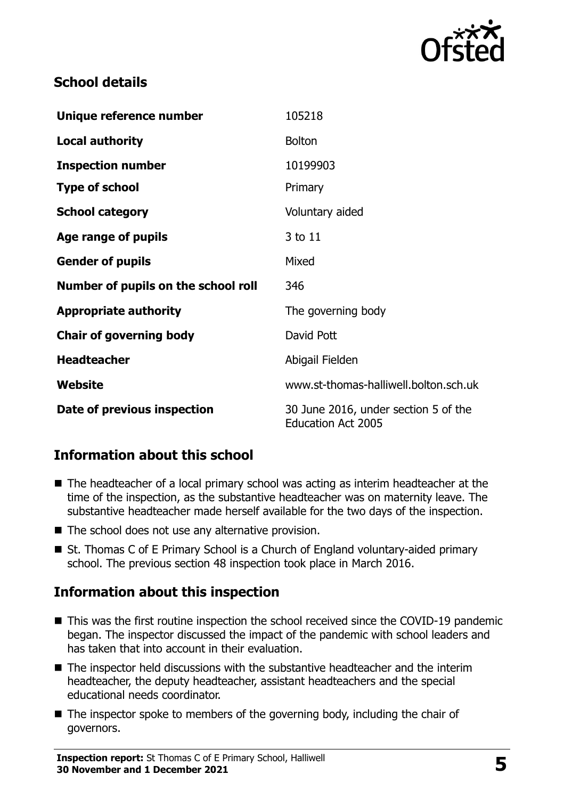

## **School details**

| Unique reference number             | 105218                                                            |
|-------------------------------------|-------------------------------------------------------------------|
| <b>Local authority</b>              | <b>Bolton</b>                                                     |
| <b>Inspection number</b>            | 10199903                                                          |
| <b>Type of school</b>               | Primary                                                           |
| <b>School category</b>              | Voluntary aided                                                   |
| Age range of pupils                 | 3 to 11                                                           |
| <b>Gender of pupils</b>             | Mixed                                                             |
| Number of pupils on the school roll | 346                                                               |
| <b>Appropriate authority</b>        | The governing body                                                |
| <b>Chair of governing body</b>      | David Pott                                                        |
| <b>Headteacher</b>                  | Abigail Fielden                                                   |
| Website                             | www.st-thomas-halliwell.bolton.sch.uk                             |
| Date of previous inspection         | 30 June 2016, under section 5 of the<br><b>Education Act 2005</b> |

## **Information about this school**

- The headteacher of a local primary school was acting as interim headteacher at the time of the inspection, as the substantive headteacher was on maternity leave. The substantive headteacher made herself available for the two days of the inspection.
- The school does not use any alternative provision.
- St. Thomas C of E Primary School is a Church of England voluntary-aided primary school. The previous section 48 inspection took place in March 2016.

## **Information about this inspection**

- This was the first routine inspection the school received since the COVID-19 pandemic began. The inspector discussed the impact of the pandemic with school leaders and has taken that into account in their evaluation.
- The inspector held discussions with the substantive headteacher and the interim headteacher, the deputy headteacher, assistant headteachers and the special educational needs coordinator.
- The inspector spoke to members of the governing body, including the chair of governors.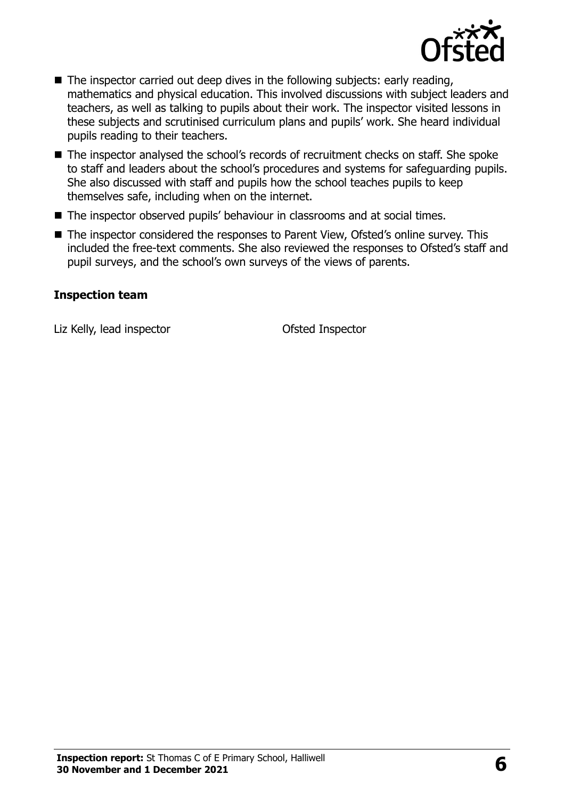

- The inspector carried out deep dives in the following subjects: early reading, mathematics and physical education. This involved discussions with subject leaders and teachers, as well as talking to pupils about their work. The inspector visited lessons in these subjects and scrutinised curriculum plans and pupils' work. She heard individual pupils reading to their teachers.
- The inspector analysed the school's records of recruitment checks on staff. She spoke to staff and leaders about the school's procedures and systems for safeguarding pupils. She also discussed with staff and pupils how the school teaches pupils to keep themselves safe, including when on the internet.
- The inspector observed pupils' behaviour in classrooms and at social times.
- The inspector considered the responses to Parent View, Ofsted's online survey. This included the free-text comments. She also reviewed the responses to Ofsted's staff and pupil surveys, and the school's own surveys of the views of parents.

#### **Inspection team**

Liz Kelly, lead inspector **CELL COLLEGATE:** Ofsted Inspector